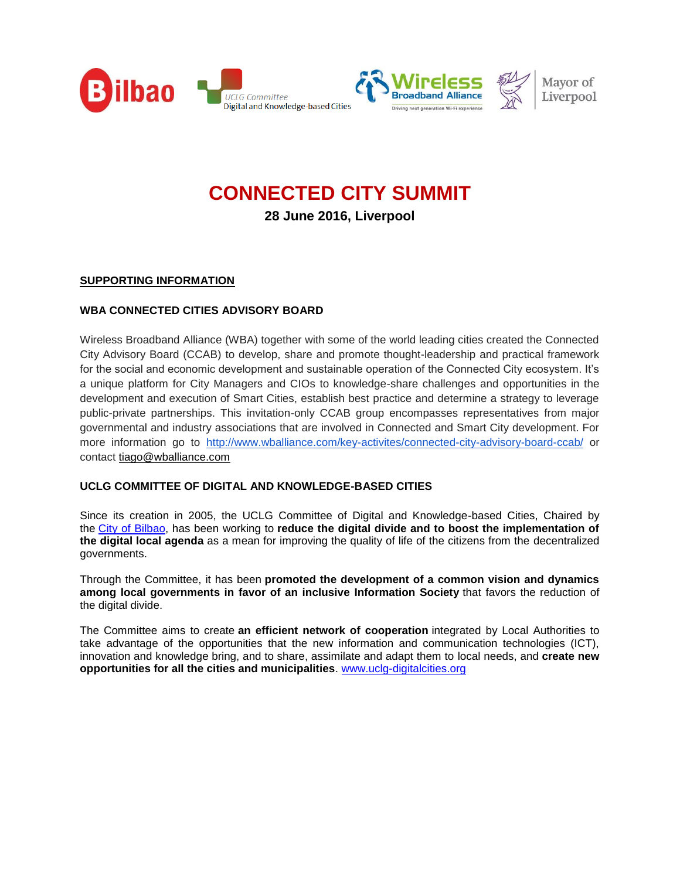



**28 June 2016, Liverpool**

# **SUPPORTING INFORMATION**

### **WBA CONNECTED CITIES ADVISORY BOARD**

Wireless Broadband Alliance (WBA) together with some of the world leading cities created the Connected City Advisory Board (CCAB) to develop, share and promote thought-leadership and practical framework for the social and economic development and sustainable operation of the Connected City ecosystem. It's a unique platform for City Managers and CIOs to knowledge-share challenges and opportunities in the development and execution of Smart Cities, establish best practice and determine a strategy to leverage public-private partnerships. This invitation-only CCAB group encompasses representatives from major governmental and industry associations that are involved in Connected and Smart City development. For more information go to [http://www.wballiance.com/key-activites/connected-city-advisory-board-ccab/](http://h) or contact [tiago@wballiance.com](mailto:tiago@wballiance.com)

### **UCLG COMMITTEE OF DIGITAL AND KNOWLEDGE-BASED CITIES**

Since its creation in 2005, the UCLG Committee of Digital and Knowledge-based Cities, Chaired by the [City of Bilbao,](http://www.bilbao.net/) has been working to **reduce the digital divide and to boost the implementation of the digital local agenda** as a mean for improving the quality of life of the citizens from the decentralized governments.

Through the Committee, it has been **promoted the development of a common vision and dynamics among local governments in favor of an inclusive Information Society** that favors the reduction of the digital divide.

The Committee aims to create **an efficient network of cooperation** integrated by Local Authorities to take advantage of the opportunities that the new information and communication technologies (ICT), innovation and knowledge bring, and to share, assimilate and adapt them to local needs, and **create new opportunities for all the cities and municipalities**. [www.uclg-digitalcities.org](http://www.uclg-digitalcities.org/)